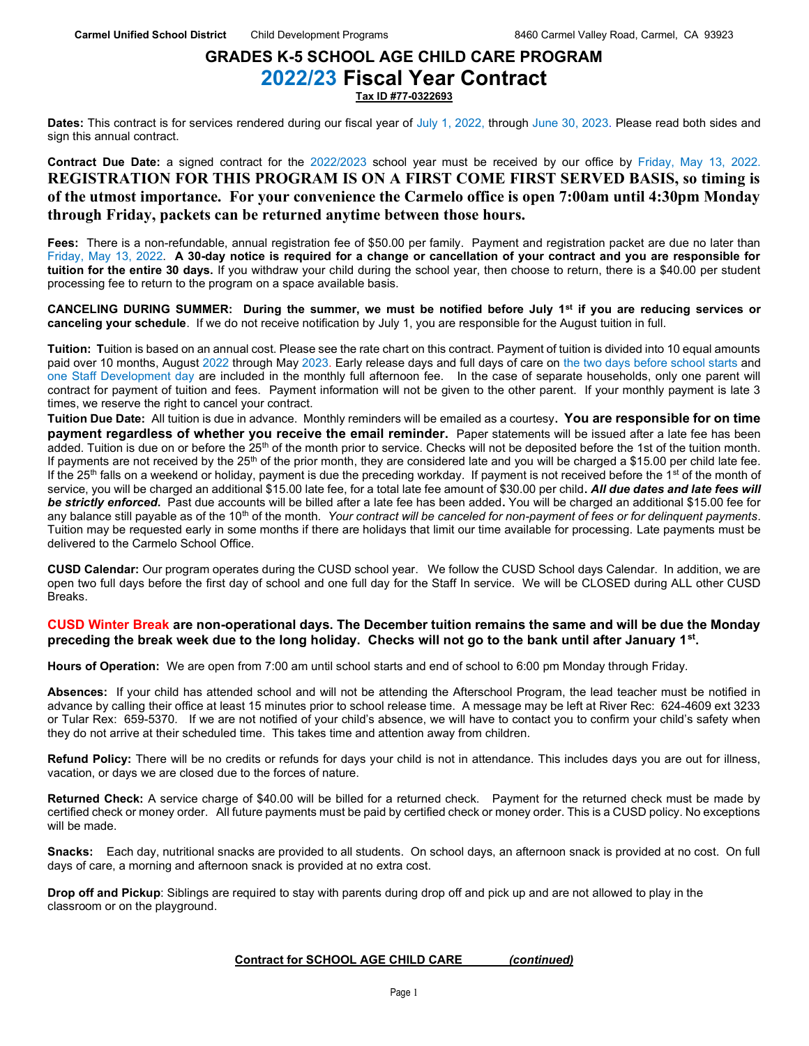### GRADES K-5 SCHOOL AGE CHILD CARE PROGRAM 2022/23 Fiscal Year Contract Tax ID #77-0322693

Dates: This contract is for services rendered during our fiscal year of July 1, 2022, through June 30, 2023. Please read both sides and sign this annual contract.

Contract Due Date: a signed contract for the 2022/2023 school year must be received by our office by Friday, May 13, 2022. REGISTRATION FOR THIS PROGRAM IS ON A FIRST COME FIRST SERVED BASIS, so timing is of the utmost importance. For your convenience the Carmelo office is open 7:00am until 4:30pm Monday through Friday, packets can be returned anytime between those hours.

Fees: There is a non-refundable, annual registration fee of \$50.00 per family. Payment and registration packet are due no later than Friday, May 13, 2022. A 30-day notice is required for a change or cancellation of your contract and you are responsible for tuition for the entire 30 days. If you withdraw your child during the school year, then choose to return, there is a \$40.00 per student processing fee to return to the program on a space available basis.

CANCELING DURING SUMMER: During the summer, we must be notified before July 1<sup>st</sup> if you are reducing services or canceling your schedule. If we do not receive notification by July 1, you are responsible for the August tuition in full.

Tuition: Tuition is based on an annual cost. Please see the rate chart on this contract. Payment of tuition is divided into 10 equal amounts paid over 10 months, August 2022 through May 2023. Early release days and full days of care on the two days before school starts and one Staff Development day are included in the monthly full afternoon fee. In the case of separate households, only one parent will contract for payment of tuition and fees. Payment information will not be given to the other parent. If your monthly payment is late 3 times, we reserve the right to cancel your contract.

Tuition Due Date: All tuition is due in advance. Monthly reminders will be emailed as a courtesy. You are responsible for on time payment regardless of whether you receive the email reminder. Paper statements will be issued after a late fee has been added. Tuition is due on or before the 25<sup>th</sup> of the month prior to service. Checks will not be deposited before the 1st of the tuition month. If payments are not received by the  $25<sup>th</sup>$  of the prior month, they are considered late and you will be charged a \$15.00 per child late fee. If the 25<sup>th</sup> falls on a weekend or holiday, payment is due the preceding workday. If payment is not received before the 1<sup>st</sup> of the month of service, you will be charged an additional \$15.00 late fee, for a total late fee amount of \$30.00 per child. All due dates and late fees will be strictly enforced. Past due accounts will be billed after a late fee has been added. You will be charged an additional \$15.00 fee for any balance still payable as of the 10<sup>th</sup> of the month. Your contract will be canceled for non-payment of fees or for delinquent payments. Tuition may be requested early in some months if there are holidays that limit our time available for processing. Late payments must be delivered to the Carmelo School Office.

CUSD Calendar: Our program operates during the CUSD school year. We follow the CUSD School days Calendar. In addition, we are open two full days before the first day of school and one full day for the Staff In service. We will be CLOSED during ALL other CUSD Breaks.

#### CUSD Winter Break are non-operational days. The December tuition remains the same and will be due the Monday preceding the break week due to the long holiday. Checks will not go to the bank until after January 1<sup>st</sup>.

Hours of Operation: We are open from 7:00 am until school starts and end of school to 6:00 pm Monday through Friday.

Absences: If your child has attended school and will not be attending the Afterschool Program, the lead teacher must be notified in advance by calling their office at least 15 minutes prior to school release time. A message may be left at River Rec: 624-4609 ext 3233 or Tular Rex: 659-5370. If we are not notified of your child's absence, we will have to contact you to confirm your child's safety when they do not arrive at their scheduled time. This takes time and attention away from children.

Refund Policy: There will be no credits or refunds for days your child is not in attendance. This includes days you are out for illness, vacation, or days we are closed due to the forces of nature.

Returned Check: A service charge of \$40.00 will be billed for a returned check. Payment for the returned check must be made by certified check or money order. All future payments must be paid by certified check or money order. This is a CUSD policy. No exceptions will be made.

Snacks: Each day, nutritional snacks are provided to all students. On school days, an afternoon snack is provided at no cost. On full days of care, a morning and afternoon snack is provided at no extra cost.

Drop off and Pickup: Siblings are required to stay with parents during drop off and pick up and are not allowed to play in the classroom or on the playground.

#### Contract for SCHOOL AGE CHILD CARE (continued)